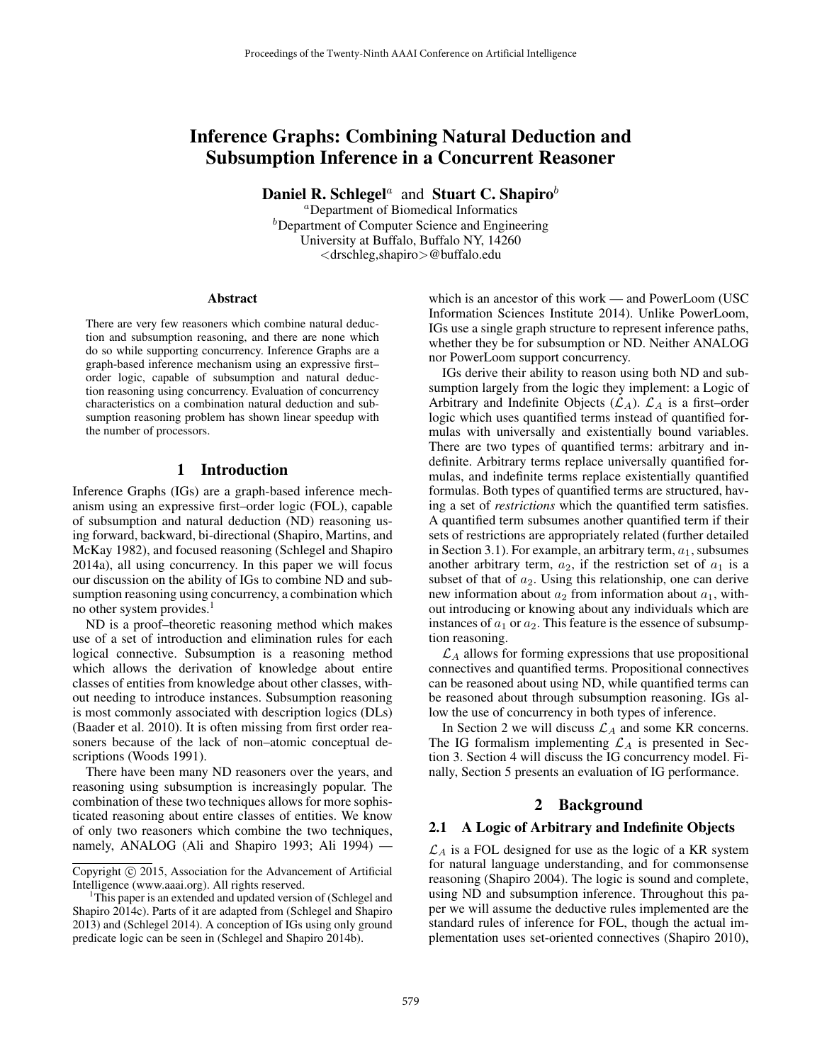# Inference Graphs: Combining Natural Deduction and Subsumption Inference in a Concurrent Reasoner

**Daniel R. Schlegel**<sup>*a*</sup> and **Stuart C. Shapiro**<sup>*b*</sup>

<sup>a</sup>Department of Biomedical Informatics  $<sup>b</sup>$ Department of Computer Science and Engineering</sup> University at Buffalo, Buffalo NY, 14260 <drschleg,shapiro>@buffalo.edu

#### **Abstract**

There are very few reasoners which combine natural deduction and subsumption reasoning, and there are none which do so while supporting concurrency. Inference Graphs are a graph-based inference mechanism using an expressive first– order logic, capable of subsumption and natural deduction reasoning using concurrency. Evaluation of concurrency characteristics on a combination natural deduction and subsumption reasoning problem has shown linear speedup with the number of processors.

## 1 Introduction

Inference Graphs (IGs) are a graph-based inference mechanism using an expressive first–order logic (FOL), capable of subsumption and natural deduction (ND) reasoning using forward, backward, bi-directional (Shapiro, Martins, and McKay 1982), and focused reasoning (Schlegel and Shapiro 2014a), all using concurrency. In this paper we will focus our discussion on the ability of IGs to combine ND and subsumption reasoning using concurrency, a combination which no other system provides.<sup>1</sup>

ND is a proof–theoretic reasoning method which makes use of a set of introduction and elimination rules for each logical connective. Subsumption is a reasoning method which allows the derivation of knowledge about entire classes of entities from knowledge about other classes, without needing to introduce instances. Subsumption reasoning is most commonly associated with description logics (DLs) (Baader et al. 2010). It is often missing from first order reasoners because of the lack of non–atomic conceptual descriptions (Woods 1991).

There have been many ND reasoners over the years, and reasoning using subsumption is increasingly popular. The combination of these two techniques allows for more sophisticated reasoning about entire classes of entities. We know of only two reasoners which combine the two techniques, namely, ANALOG (Ali and Shapiro 1993; Ali 1994) —

which is an ancestor of this work — and PowerLoom (USC Information Sciences Institute 2014). Unlike PowerLoom, IGs use a single graph structure to represent inference paths, whether they be for subsumption or ND. Neither ANALOG nor PowerLoom support concurrency.

IGs derive their ability to reason using both ND and subsumption largely from the logic they implement: a Logic of Arbitrary and Indefinite Objects  $(\mathcal{L}_A)$ .  $\mathcal{L}_A$  is a first–order logic which uses quantified terms instead of quantified formulas with universally and existentially bound variables. There are two types of quantified terms: arbitrary and indefinite. Arbitrary terms replace universally quantified formulas, and indefinite terms replace existentially quantified formulas. Both types of quantified terms are structured, having a set of *restrictions* which the quantified term satisfies. A quantified term subsumes another quantified term if their sets of restrictions are appropriately related (further detailed in Section 3.1). For example, an arbitrary term,  $a_1$ , subsumes another arbitrary term,  $a_2$ , if the restriction set of  $a_1$  is a subset of that of  $a_2$ . Using this relationship, one can derive new information about  $a_2$  from information about  $a_1$ , without introducing or knowing about any individuals which are instances of  $a_1$  or  $a_2$ . This feature is the essence of subsumption reasoning.

 $\mathcal{L}_A$  allows for forming expressions that use propositional connectives and quantified terms. Propositional connectives can be reasoned about using ND, while quantified terms can be reasoned about through subsumption reasoning. IGs allow the use of concurrency in both types of inference.

In Section 2 we will discuss  $\mathcal{L}_A$  and some KR concerns. The IG formalism implementing  $\mathcal{L}_A$  is presented in Section 3. Section 4 will discuss the IG concurrency model. Finally, Section 5 presents an evaluation of IG performance.

# 2 Background

#### 2.1 A Logic of Arbitrary and Indefinite Objects

 $\mathcal{L}_A$  is a FOL designed for use as the logic of a KR system for natural language understanding, and for commonsense reasoning (Shapiro 2004). The logic is sound and complete, using ND and subsumption inference. Throughout this paper we will assume the deductive rules implemented are the standard rules of inference for FOL, though the actual implementation uses set-oriented connectives (Shapiro 2010),

Copyright (C) 2015, Association for the Advancement of Artificial Intelligence (www.aaai.org). All rights reserved.

<sup>&</sup>lt;sup>1</sup>This paper is an extended and updated version of (Schlegel and Shapiro 2014c). Parts of it are adapted from (Schlegel and Shapiro 2013) and (Schlegel 2014). A conception of IGs using only ground predicate logic can be seen in (Schlegel and Shapiro 2014b).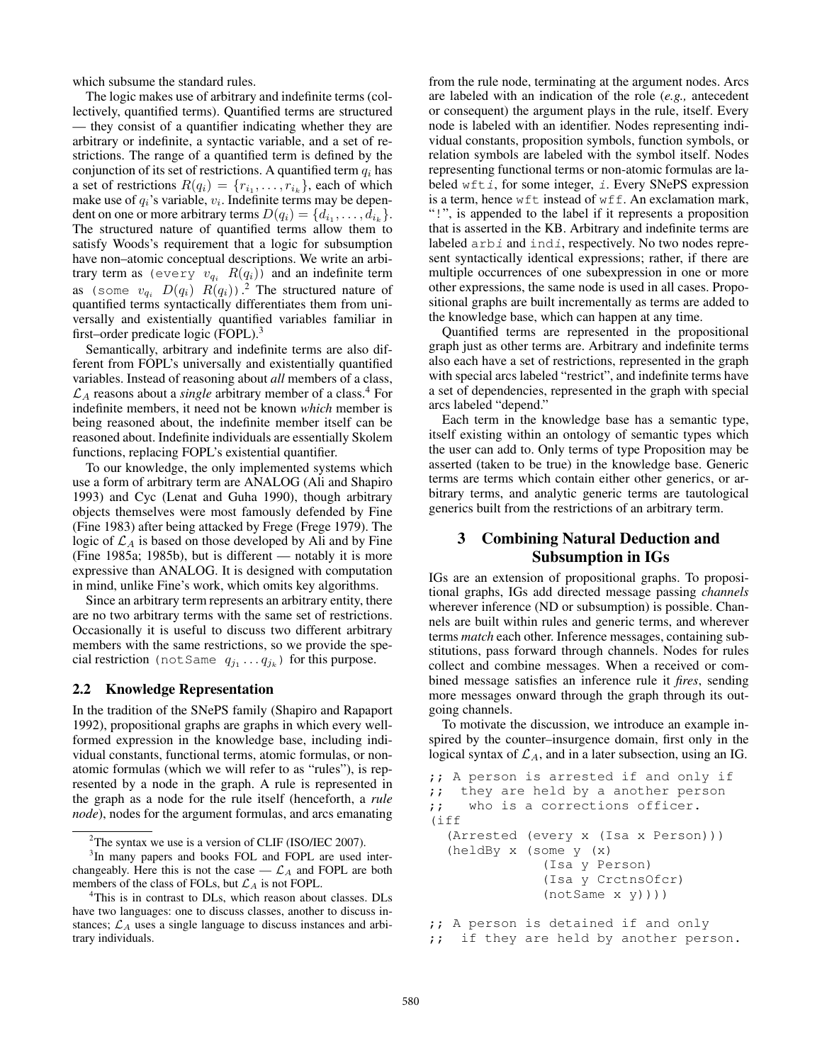which subsume the standard rules.

The logic makes use of arbitrary and indefinite terms (collectively, quantified terms). Quantified terms are structured — they consist of a quantifier indicating whether they are arbitrary or indefinite, a syntactic variable, and a set of restrictions. The range of a quantified term is defined by the conjunction of its set of restrictions. A quantified term  $q_i$  has a set of restrictions  $R(q_i) = \{r_{i_1}, \ldots, r_{i_k}\}$ , each of which make use of  $q_i$ 's variable,  $v_i$ . Indefinite terms may be dependent on one or more arbitrary terms  $D(q_i) = \{d_{i_1}, \ldots, d_{i_k}\}.$ The structured nature of quantified terms allow them to satisfy Woods's requirement that a logic for subsumption have non–atomic conceptual descriptions. We write an arbitrary term as (every  $v_{q_i}$   $R(q_i)$ ) and an indefinite term as (some  $v_{q_i}$   $D(q_i)$   $R(q_i)$ ).<sup>2</sup> The structured nature of quantified terms syntactically differentiates them from universally and existentially quantified variables familiar in first–order predicate logic (FOPL).<sup>3</sup>

Semantically, arbitrary and indefinite terms are also different from FOPL's universally and existentially quantified variables. Instead of reasoning about *all* members of a class,  $\mathcal{L}_A$  reasons about a *single* arbitrary member of a class.<sup>4</sup> For indefinite members, it need not be known *which* member is being reasoned about, the indefinite member itself can be reasoned about. Indefinite individuals are essentially Skolem functions, replacing FOPL's existential quantifier.

To our knowledge, the only implemented systems which use a form of arbitrary term are ANALOG (Ali and Shapiro 1993) and Cyc (Lenat and Guha 1990), though arbitrary objects themselves were most famously defended by Fine (Fine 1983) after being attacked by Frege (Frege 1979). The logic of  $\mathcal{L}_A$  is based on those developed by Ali and by Fine (Fine 1985a; 1985b), but is different — notably it is more expressive than ANALOG. It is designed with computation in mind, unlike Fine's work, which omits key algorithms.

Since an arbitrary term represents an arbitrary entity, there are no two arbitrary terms with the same set of restrictions. Occasionally it is useful to discuss two different arbitrary members with the same restrictions, so we provide the special restriction (not Same  $q_{j_1} \ldots q_{j_k}$ ) for this purpose.

### 2.2 Knowledge Representation

In the tradition of the SNePS family (Shapiro and Rapaport 1992), propositional graphs are graphs in which every wellformed expression in the knowledge base, including individual constants, functional terms, atomic formulas, or nonatomic formulas (which we will refer to as "rules"), is represented by a node in the graph. A rule is represented in the graph as a node for the rule itself (henceforth, a *rule node*), nodes for the argument formulas, and arcs emanating

<sup>3</sup>In many papers and books FOL and FOPL are used interchangeably. Here this is not the case  $-\mathcal{L}_A$  and FOPL are both members of the class of FOLs, but  $\mathcal{L}_A$  is not FOPL.

from the rule node, terminating at the argument nodes. Arcs are labeled with an indication of the role (*e.g.,* antecedent or consequent) the argument plays in the rule, itself. Every node is labeled with an identifier. Nodes representing individual constants, proposition symbols, function symbols, or relation symbols are labeled with the symbol itself. Nodes representing functional terms or non-atomic formulas are labeled wfti, for some integer, i. Every SNePS expression is a term, hence wft instead of wff. An exclamation mark, "!", is appended to the label if it represents a proposition that is asserted in the KB. Arbitrary and indefinite terms are labeled arbi and indi, respectively. No two nodes represent syntactically identical expressions; rather, if there are multiple occurrences of one subexpression in one or more other expressions, the same node is used in all cases. Propositional graphs are built incrementally as terms are added to the knowledge base, which can happen at any time.

Quantified terms are represented in the propositional graph just as other terms are. Arbitrary and indefinite terms also each have a set of restrictions, represented in the graph with special arcs labeled "restrict", and indefinite terms have a set of dependencies, represented in the graph with special arcs labeled "depend."

Each term in the knowledge base has a semantic type, itself existing within an ontology of semantic types which the user can add to. Only terms of type Proposition may be asserted (taken to be true) in the knowledge base. Generic terms are terms which contain either other generics, or arbitrary terms, and analytic generic terms are tautological generics built from the restrictions of an arbitrary term.

# 3 Combining Natural Deduction and Subsumption in IGs

IGs are an extension of propositional graphs. To propositional graphs, IGs add directed message passing *channels* wherever inference (ND or subsumption) is possible. Channels are built within rules and generic terms, and wherever terms *match* each other. Inference messages, containing substitutions, pass forward through channels. Nodes for rules collect and combine messages. When a received or combined message satisfies an inference rule it *fires*, sending more messages onward through the graph through its outgoing channels.

To motivate the discussion, we introduce an example inspired by the counter–insurgence domain, first only in the logical syntax of  $\mathcal{L}_A$ , and in a later subsection, using an IG.

```
;; A person is arrested if and only if
;; they are held by a another person
;; who is a corrections officer.
(iff
  (Arrested (every x (Isa x Person)))
  (heldBy x (some y (x)
              (Isa y Person)
              (Isa y CrctnsOfcr)
              (notSame x y))))
;; A person is detained if and only
;; if they are held by another person.
```
 $2$ The syntax we use is a version of CLIF (ISO/IEC 2007).

<sup>&</sup>lt;sup>4</sup>This is in contrast to DLs, which reason about classes. DLs have two languages: one to discuss classes, another to discuss instances;  $\mathcal{L}_A$  uses a single language to discuss instances and arbitrary individuals.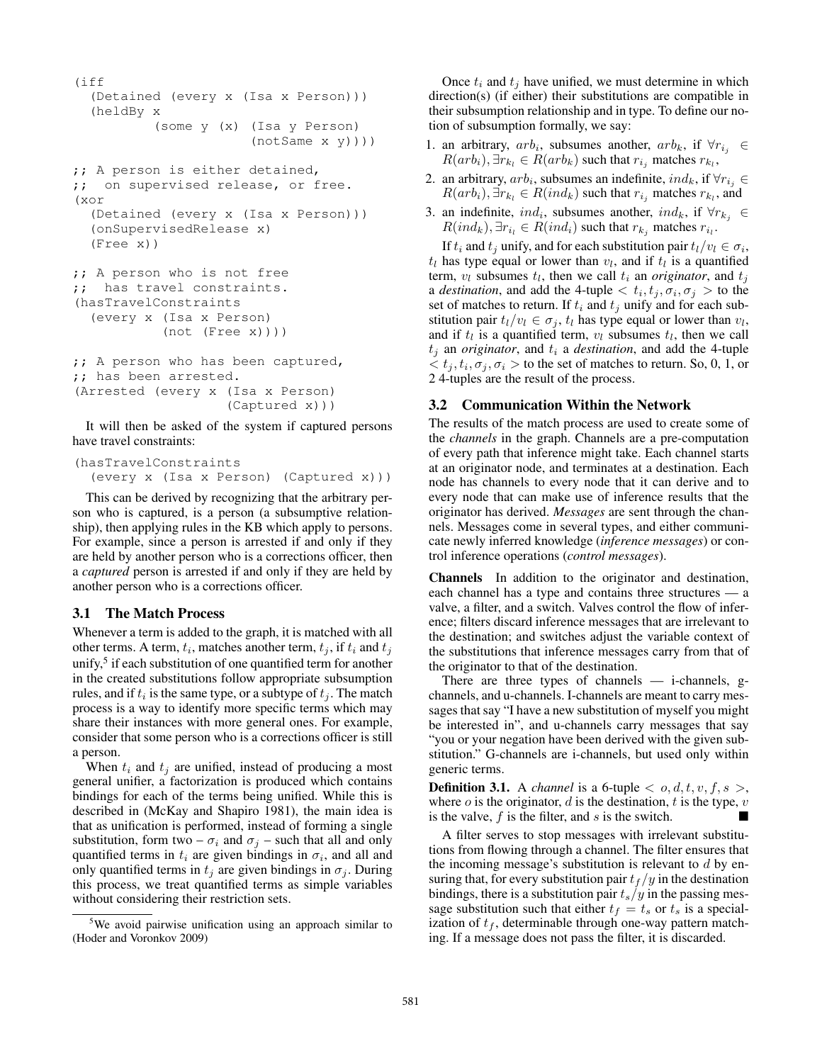```
(iff
  (Detained (every x (Isa x Person)))
  (heldBy x
          (some y (x) (Isa y Person)
                       (notSame x y))))
;; A person is either detained,
;; on supervised release, or free.
```

```
(xor
  (Detained (every x (Isa x Person)))
  (onSupervisedRelease x)
  (Free x))
```

```
;; A person who is not free
;; has travel constraints.
(hasTravelConstraints
  (every x (Isa x Person)
           (not (Free x))))
```

```
;; A person who has been captured,
;; has been arrested.
(Arrested (every x (Isa x Person)
                    (Captured x)))
```
It will then be asked of the system if captured persons have travel constraints:

```
(hasTravelConstraints
  (every x (Isa x Person) (Captured x)))
```
This can be derived by recognizing that the arbitrary person who is captured, is a person (a subsumptive relationship), then applying rules in the KB which apply to persons. For example, since a person is arrested if and only if they are held by another person who is a corrections officer, then a *captured* person is arrested if and only if they are held by another person who is a corrections officer.

## 3.1 The Match Process

Whenever a term is added to the graph, it is matched with all other terms. A term,  $t_i$ , matches another term,  $t_j$ , if  $t_i$  and  $t_j$ unify,<sup>5</sup> if each substitution of one quantified term for another in the created substitutions follow appropriate subsumption rules, and if  $t_i$  is the same type, or a subtype of  $t_j$ . The match process is a way to identify more specific terms which may share their instances with more general ones. For example, consider that some person who is a corrections officer is still a person.

When  $t_i$  and  $t_j$  are unified, instead of producing a most general unifier, a factorization is produced which contains bindings for each of the terms being unified. While this is described in (McKay and Shapiro 1981), the main idea is that as unification is performed, instead of forming a single substitution, form two –  $\sigma_i$  and  $\sigma_j$  – such that all and only quantified terms in  $t_i$  are given bindings in  $\sigma_i$ , and all and only quantified terms in  $t_i$  are given bindings in  $\sigma_i$ . During this process, we treat quantified terms as simple variables without considering their restriction sets.

Once  $t_i$  and  $t_j$  have unified, we must determine in which direction(s) (if either) their substitutions are compatible in their subsumption relationship and in type. To define our notion of subsumption formally, we say:

- 1. an arbitrary,  $arb_i$ , subsumes another,  $arb_k$ , if  $\forall r_{i_j} \in$  $R(arb_i), \exists r_{k_l} \in R(arb_k)$  such that  $r_{i_j}$  matches  $r_{k_l}$ ,
- 2. an arbitrary,  $arb_i$ , subsumes an indefinite,  $ind_k$ , if  $\forall r_{i_j} \in$  $R(arb_i), \exists r_{k_l} \in R(ind_k)$  such that  $r_{i_j}$  matches  $r_{k_l}$ , and
- 3. an indefinite,  $ind_i$ , subsumes another,  $ind_k$ , if  $\forall r_{k_j} \in$  $R(ind_k), \exists r_{i_l} \in R(ind_i)$  such that  $r_{k_j}$  matches  $r_{i_l}$ .

If  $t_i$  and  $t_j$  unify, and for each substitution pair  $t_l/v_l \in \sigma_i$ ,  $t_l$  has type equal or lower than  $v_l$ , and if  $t_l$  is a quantified term,  $v_l$  subsumes  $t_l$ , then we call  $t_i$  an *originator*, and  $t_j$ a *destination*, and add the 4-tuple  $\langle t_i, t_j, \sigma_i, \sigma_j \rangle$  to the set of matches to return. If  $t_i$  and  $t_j$  unify and for each substitution pair  $t_l/v_l \in \sigma_j$ ,  $t_l$  has type equal or lower than  $v_l$ , and if  $t_l$  is a quantified term,  $v_l$  subsumes  $t_l$ , then we call  $t_i$  an *originator*, and  $t_i$  a *destination*, and add the 4-tuple  $\langle t_j, t_i, \sigma_j, \sigma_i \rangle$  to the set of matches to return. So, 0, 1, or 2 4-tuples are the result of the process.

## 3.2 Communication Within the Network

The results of the match process are used to create some of the *channels* in the graph. Channels are a pre-computation of every path that inference might take. Each channel starts at an originator node, and terminates at a destination. Each node has channels to every node that it can derive and to every node that can make use of inference results that the originator has derived. *Messages* are sent through the channels. Messages come in several types, and either communicate newly inferred knowledge (*inference messages*) or control inference operations (*control messages*).

Channels In addition to the originator and destination, each channel has a type and contains three structures — a valve, a filter, and a switch. Valves control the flow of inference; filters discard inference messages that are irrelevant to the destination; and switches adjust the variable context of the substitutions that inference messages carry from that of the originator to that of the destination.

There are three types of channels  $-$  i-channels, gchannels, and u-channels. I-channels are meant to carry messages that say "I have a new substitution of myself you might be interested in", and u-channels carry messages that say "you or your negation have been derived with the given substitution." G-channels are i-channels, but used only within generic terms.

**Definition 3.1.** A *channel* is a 6-tuple  $\langle o, d, t, v, f, s \rangle$ , where  $o$  is the originator,  $d$  is the destination,  $t$  is the type,  $v$ is the valve,  $f$  is the filter, and  $s$  is the switch.

A filter serves to stop messages with irrelevant substitutions from flowing through a channel. The filter ensures that the incoming message's substitution is relevant to  $d$  by ensuring that, for every substitution pair  $t_f / y$  in the destination bindings, there is a substitution pair  $t_s/y$  in the passing message substitution such that either  $t_f = t_s$  or  $t_s$  is a specialization of  $t_f$ , determinable through one-way pattern matching. If a message does not pass the filter, it is discarded.

<sup>5</sup>We avoid pairwise unification using an approach similar to (Hoder and Voronkov 2009)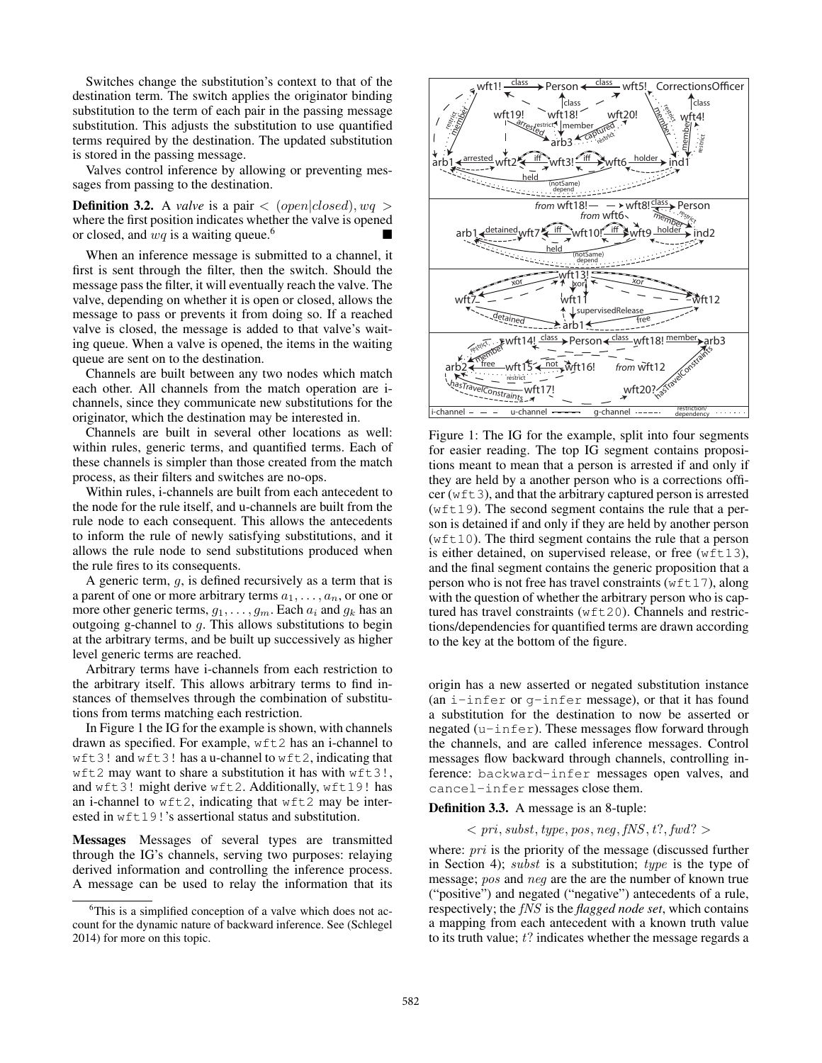Switches change the substitution's context to that of the destination term. The switch applies the originator binding substitution to the term of each pair in the passing message substitution. This adjusts the substitution to use quantified terms required by the destination. The updated substitution is stored in the passing message.

Valves control inference by allowing or preventing messages from passing to the destination.

**Definition 3.2.** A *valve* is a pair  $\langle$  (*open*|closed),  $wq$ where the first position indicates whether the valve is opened or closed, and  $wq$  is a waiting queue.<sup>6</sup>

When an inference message is submitted to a channel, it first is sent through the filter, then the switch. Should the message pass the filter, it will eventually reach the valve. The valve, depending on whether it is open or closed, allows the message to pass or prevents it from doing so. If a reached valve is closed, the message is added to that valve's waiting queue. When a valve is opened, the items in the waiting queue are sent on to the destination.

Channels are built between any two nodes which match each other. All channels from the match operation are ichannels, since they communicate new substitutions for the originator, which the destination may be interested in.

Channels are built in several other locations as well: within rules, generic terms, and quantified terms. Each of these channels is simpler than those created from the match process, as their filters and switches are no-ops.

Within rules, i-channels are built from each antecedent to the node for the rule itself, and u-channels are built from the rule node to each consequent. This allows the antecedents to inform the rule of newly satisfying substitutions, and it allows the rule node to send substitutions produced when the rule fires to its consequents.

A generic term, g, is defined recursively as a term that is a parent of one or more arbitrary terms  $a_1, \ldots, a_n$ , or one or more other generic terms,  $g_1, \ldots, g_m$ . Each  $a_i$  and  $g_k$  has an outgoing g-channel to  $q$ . This allows substitutions to begin at the arbitrary terms, and be built up successively as higher level generic terms are reached.

Arbitrary terms have i-channels from each restriction to the arbitrary itself. This allows arbitrary terms to find instances of themselves through the combination of substitutions from terms matching each restriction.

In Figure 1 the IG for the example is shown, with channels drawn as specified. For example, wft2 has an i-channel to wft3! and wft3! has a u-channel to wft2, indicating that wft2 may want to share a substitution it has with wft3!, and wft3! might derive wft2. Additionally, wft19! has an i-channel to wft2, indicating that wft2 may be interested in  $wft19!$ 's assertional status and substitution.

Messages Messages of several types are transmitted through the IG's channels, serving two purposes: relaying derived information and controlling the inference process. A message can be used to relay the information that its



Figure 1: The IG for the example, split into four segments for easier reading. The top IG segment contains propositions meant to mean that a person is arrested if and only if they are held by a another person who is a corrections officer ( $wft3$ ), and that the arbitrary captured person is arrested (wft19). The second segment contains the rule that a person is detained if and only if they are held by another person  $(wft10)$ . The third segment contains the rule that a person is either detained, on supervised release, or free (wft13), and the final segment contains the generic proposition that a person who is not free has travel constraints ( $wft17$ ), along with the question of whether the arbitrary person who is captured has travel constraints (wft20). Channels and restrictions/dependencies for quantified terms are drawn according to the key at the bottom of the figure.

origin has a new asserted or negated substitution instance (an i-infer or g-infer message), or that it has found a substitution for the destination to now be asserted or negated (u-infer). These messages flow forward through the channels, and are called inference messages. Control messages flow backward through channels, controlling inference: backward-infer messages open valves, and cancel-infer messages close them.

#### Definition 3.3. A message is an 8-tuple:

 $\langle pri, subset, type, pos, neg, fNS, t?, fwd? \rangle$ 

where:  $pri$  is the priority of the message (discussed further in Section 4); *subst* is a substitution; *type* is the type of message; pos and neg are the are the number of known true ("positive") and negated ("negative") antecedents of a rule, respectively; the fNS is the *flagged node set*, which contains a mapping from each antecedent with a known truth value to its truth value;  $t$ ? indicates whether the message regards a

 $6$ This is a simplified conception of a valve which does not account for the dynamic nature of backward inference. See (Schlegel 2014) for more on this topic.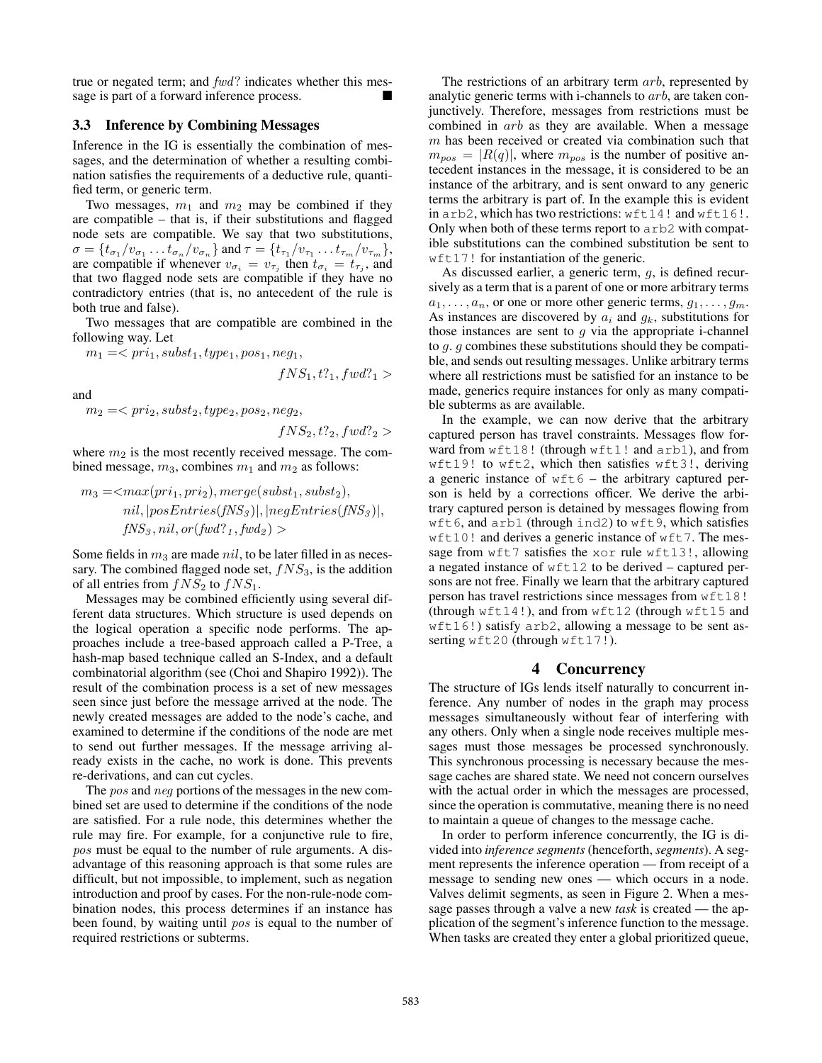true or negated term; and fwd? indicates whether this message is part of a forward inference process.

# 3.3 Inference by Combining Messages

Inference in the IG is essentially the combination of messages, and the determination of whether a resulting combination satisfies the requirements of a deductive rule, quantified term, or generic term.

Two messages,  $m_1$  and  $m_2$  may be combined if they are compatible – that is, if their substitutions and flagged node sets are compatible. We say that two substitutions,  $\sigma = \{t_{\sigma_1}/v_{\sigma_1} \dots t_{\sigma_n}/v_{\sigma_n}\}\$ and  $\tau = \{t_{\tau_1}/v_{\tau_1} \dots t_{\tau_m}/v_{\tau_m}\},$ are compatible if whenever  $v_{\sigma_i} = v_{\tau_j}$  then  $t_{\sigma_i} = t_{\tau_j}$ , and that two flagged node sets are compatible if they have no contradictory entries (that is, no antecedent of the rule is both true and false).

Two messages that are compatible are combined in the following way. Let

$$
m_1 =   

$$
fNS_1, t?_1, fwd?_1>
$$
$$

and

 $m_2 = \langle pri_2, subst_2, type_2, pos_2, neg_2,$ 

$$
fNS_2, t?_2, fwd?_2 >
$$

where  $m_2$  is the most recently received message. The combined message,  $m_3$ , combines  $m_1$  and  $m_2$  as follows:

$$
m_3 =  $max(pri_1, pri_2), merge(subst_1, subst_2),$   
\n*nil*,  $|posEntries(fNS_3)|$ ,  $|negEntries(fNS_3)|$ ,  
\n $fNS_3, nil, or(fwd?_1, fwd_2) >$
$$

Some fields in  $m_3$  are made nil, to be later filled in as necessary. The combined flagged node set,  $fNS<sub>3</sub>$ , is the addition of all entries from  $fNS_2$  to  $fNS_1$ .

Messages may be combined efficiently using several different data structures. Which structure is used depends on the logical operation a specific node performs. The approaches include a tree-based approach called a P-Tree, a hash-map based technique called an S-Index, and a default combinatorial algorithm (see (Choi and Shapiro 1992)). The result of the combination process is a set of new messages seen since just before the message arrived at the node. The newly created messages are added to the node's cache, and examined to determine if the conditions of the node are met to send out further messages. If the message arriving already exists in the cache, no work is done. This prevents re-derivations, and can cut cycles.

The *pos* and *neg* portions of the messages in the new combined set are used to determine if the conditions of the node are satisfied. For a rule node, this determines whether the rule may fire. For example, for a conjunctive rule to fire, pos must be equal to the number of rule arguments. A disadvantage of this reasoning approach is that some rules are difficult, but not impossible, to implement, such as negation introduction and proof by cases. For the non-rule-node combination nodes, this process determines if an instance has been found, by waiting until pos is equal to the number of required restrictions or subterms.

The restrictions of an arbitrary term *arb*, represented by analytic generic terms with i-channels to arb, are taken conjunctively. Therefore, messages from restrictions must be combined in arb as they are available. When a message  $m$  has been received or created via combination such that  $m_{pos} = |R(q)|$ , where  $m_{pos}$  is the number of positive antecedent instances in the message, it is considered to be an instance of the arbitrary, and is sent onward to any generic terms the arbitrary is part of. In the example this is evident in arb2, which has two restrictions: wft14! and wft16!. Only when both of these terms report to arb2 with compatible substitutions can the combined substitution be sent to wft17! for instantiation of the generic.

As discussed earlier, a generic term, g, is defined recursively as a term that is a parent of one or more arbitrary terms  $a_1, \ldots, a_n$ , or one or more other generic terms,  $g_1, \ldots, g_m$ . As instances are discovered by  $a_i$  and  $g_k$ , substitutions for those instances are sent to  $g$  via the appropriate i-channel to g. g combines these substitutions should they be compatible, and sends out resulting messages. Unlike arbitrary terms where all restrictions must be satisfied for an instance to be made, generics require instances for only as many compatible subterms as are available.

In the example, we can now derive that the arbitrary captured person has travel constraints. Messages flow forward from wft18! (through wft1! and arb1), and from wft19! to wft2, which then satisfies wft3!, deriving a generic instance of  $wft6$  – the arbitrary captured person is held by a corrections officer. We derive the arbitrary captured person is detained by messages flowing from wft6, and arb1 (through ind2) to wft9, which satisfies wft10! and derives a generic instance of wft7. The message from  $wft7$  satisfies the xor rule  $wft13!$ , allowing a negated instance of wft12 to be derived – captured persons are not free. Finally we learn that the arbitrary captured person has travel restrictions since messages from wft18! (through wft14!), and from wft12 (through wft15 and wft16!) satisfy arb2, allowing a message to be sent asserting wft20 (through wft17!).

#### 4 Concurrency

The structure of IGs lends itself naturally to concurrent inference. Any number of nodes in the graph may process messages simultaneously without fear of interfering with any others. Only when a single node receives multiple messages must those messages be processed synchronously. This synchronous processing is necessary because the message caches are shared state. We need not concern ourselves with the actual order in which the messages are processed, since the operation is commutative, meaning there is no need to maintain a queue of changes to the message cache.

In order to perform inference concurrently, the IG is divided into *inference segments* (henceforth, *segments*). A segment represents the inference operation — from receipt of a message to sending new ones — which occurs in a node. Valves delimit segments, as seen in Figure 2. When a message passes through a valve a new *task* is created — the application of the segment's inference function to the message. When tasks are created they enter a global prioritized queue,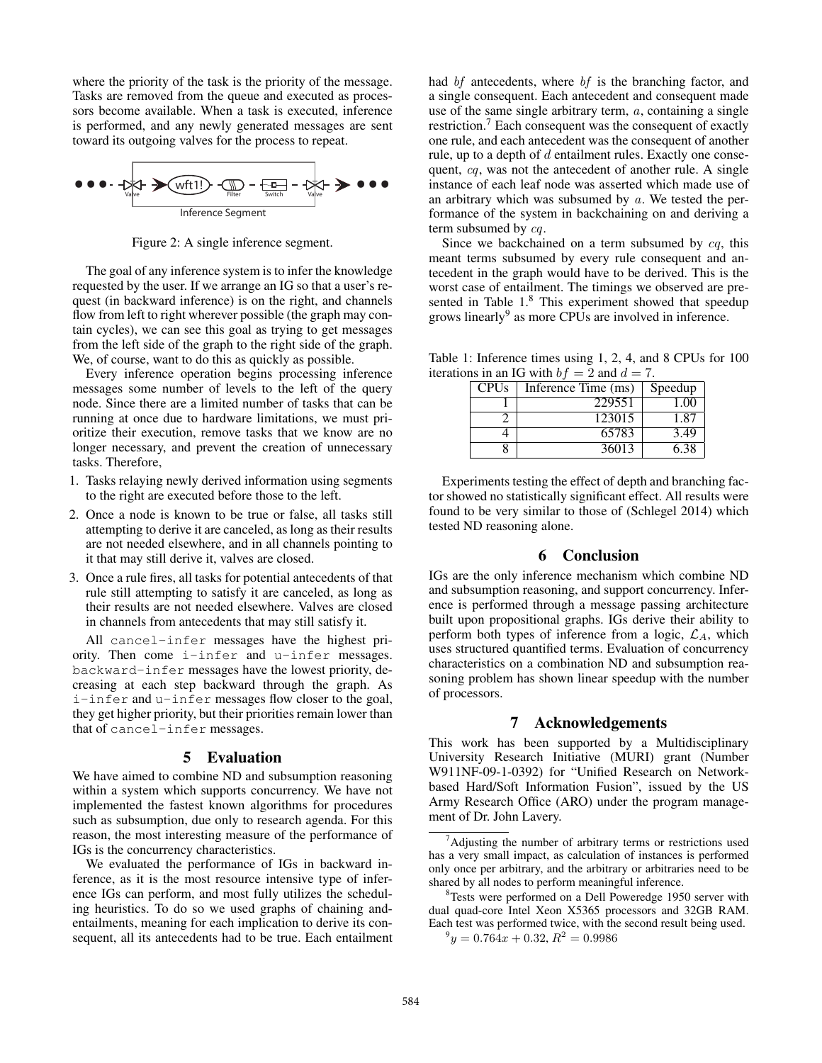where the priority of the task is the priority of the message. Tasks are removed from the queue and executed as processors become available. When a task is executed, inference is performed, and any newly generated messages are sent toward its outgoing valves for the process to repeat.



Figure 2: A single inference segment.

The goal of any inference system is to infer the knowledge requested by the user. If we arrange an IG so that a user's request (in backward inference) is on the right, and channels flow from left to right wherever possible (the graph may contain cycles), we can see this goal as trying to get messages from the left side of the graph to the right side of the graph. We, of course, want to do this as quickly as possible.

Every inference operation begins processing inference messages some number of levels to the left of the query node. Since there are a limited number of tasks that can be running at once due to hardware limitations, we must prioritize their execution, remove tasks that we know are no longer necessary, and prevent the creation of unnecessary tasks. Therefore,

- 1. Tasks relaying newly derived information using segments to the right are executed before those to the left.
- 2. Once a node is known to be true or false, all tasks still attempting to derive it are canceled, as long as their results are not needed elsewhere, and in all channels pointing to it that may still derive it, valves are closed.
- 3. Once a rule fires, all tasks for potential antecedents of that rule still attempting to satisfy it are canceled, as long as their results are not needed elsewhere. Valves are closed in channels from antecedents that may still satisfy it.

All cancel-infer messages have the highest priority. Then come i-infer and u-infer messages. backward-infer messages have the lowest priority, decreasing at each step backward through the graph. As i-infer and u-infer messages flow closer to the goal, they get higher priority, but their priorities remain lower than that of cancel-infer messages.

#### 5 Evaluation

We have aimed to combine ND and subsumption reasoning within a system which supports concurrency. We have not implemented the fastest known algorithms for procedures such as subsumption, due only to research agenda. For this reason, the most interesting measure of the performance of IGs is the concurrency characteristics.

We evaluated the performance of IGs in backward inference, as it is the most resource intensive type of inference IGs can perform, and most fully utilizes the scheduling heuristics. To do so we used graphs of chaining andentailments, meaning for each implication to derive its consequent, all its antecedents had to be true. Each entailment had *bf* antecedents, where *bf* is the branching factor, and a single consequent. Each antecedent and consequent made use of the same single arbitrary term, a, containing a single restriction.<sup>7</sup> Each consequent was the consequent of exactly one rule, and each antecedent was the consequent of another rule, up to a depth of  $d$  entailment rules. Exactly one consequent, cq, was not the antecedent of another rule. A single instance of each leaf node was asserted which made use of an arbitrary which was subsumed by  $a$ . We tested the performance of the system in backchaining on and deriving a term subsumed by cq.

Since we backchained on a term subsumed by  $cq$ , this meant terms subsumed by every rule consequent and antecedent in the graph would have to be derived. This is the worst case of entailment. The timings we observed are presented in Table 1.<sup>8</sup> This experiment showed that speedup grows linearly<sup>9</sup> as more CPUs are involved in inference.

Table 1: Inference times using 1, 2, 4, and 8 CPUs for 100 iterations in an IG with  $bf = 2$  and  $d = 7$ .

| <b>CPUs</b> | Inference Time (ms) | Speedup |
|-------------|---------------------|---------|
|             | 229551              | 1.00    |
|             | 123015              | 1.87    |
|             | 65783               | 3.49    |
|             | 36013               | 6.38    |

Experiments testing the effect of depth and branching factor showed no statistically significant effect. All results were found to be very similar to those of (Schlegel 2014) which tested ND reasoning alone.

## 6 Conclusion

IGs are the only inference mechanism which combine ND and subsumption reasoning, and support concurrency. Inference is performed through a message passing architecture built upon propositional graphs. IGs derive their ability to perform both types of inference from a logic,  $\mathcal{L}_A$ , which uses structured quantified terms. Evaluation of concurrency characteristics on a combination ND and subsumption reasoning problem has shown linear speedup with the number of processors.

# 7 Acknowledgements

This work has been supported by a Multidisciplinary University Research Initiative (MURI) grant (Number W911NF-09-1-0392) for "Unified Research on Networkbased Hard/Soft Information Fusion", issued by the US Army Research Office (ARO) under the program management of Dr. John Lavery.

<sup>&</sup>lt;sup>7</sup>Adjusting the number of arbitrary terms or restrictions used has a very small impact, as calculation of instances is performed only once per arbitrary, and the arbitrary or arbitraries need to be shared by all nodes to perform meaningful inference.

<sup>&</sup>lt;sup>8</sup>Tests were performed on a Dell Poweredge 1950 server with dual quad-core Intel Xeon X5365 processors and 32GB RAM. Each test was performed twice, with the second result being used.

 $9y = 0.764x + 0.32, R^2 = 0.9986$